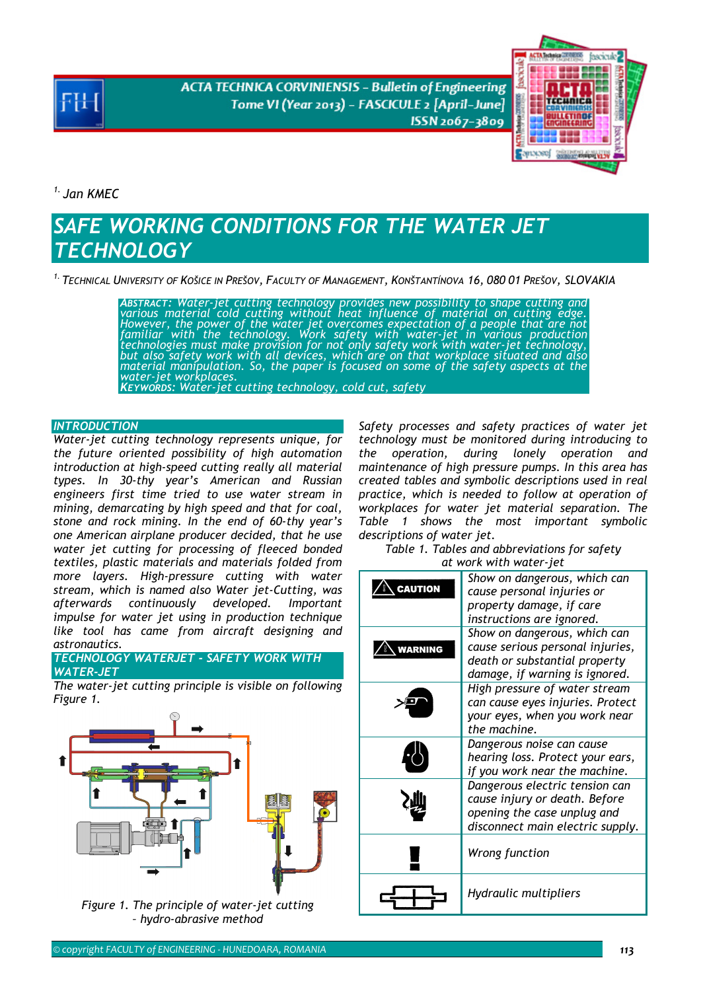**ACTA TECHNICA CORVINIENSIS - Bulletin of Engineering** Tome VI (Year 2013) - FASCICULE 2 [April-June] ISSN 2067-3809



*1. Jan KMEC* 

# *SAFE WORKING CONDITIONS FOR THE WATER JET TECHNOLOGY*

*1. TECHNICAL UNIVERSITY OF KOŠICE IN PREŠOV, FACULTY OF MANAGEMENT, KONŠTANTÍNOVA 16, 080 01 PREŠOV, SLOVAKIA* 

*ABSTRACT: Water-jet cutting technology provides new possibility to shape cutting and various material cold cutting without heat influence of material on cutting edge.*  However, the power of the water jet overcomes expectation of a people that are not<br>familiar with the technology. Work safety with water-jet in various production<br>technologies must make provision for not only safety work wi *material manipulation. So, the paper is focused on some of the safety aspects at the water-jet workplaces. KEYWORDS: Water-jet cutting technology, cold cut, safety* 

**INTRODUCTION** 

*Water-jet cutting technology represents unique, for the future oriented possibility of high automation introduction at high-speed cutting really all material types. In 30-thy year's American and Russian engineers first time tried to use water stream in mining, demarcating by high speed and that for coal, stone and rock mining. In the end of 60-thy year's one American airplane producer decided, that he use water jet cutting for processing of fleeced bonded textiles, plastic materials and materials folded from more layers. High-pressure cutting with water stream, which is named also Water jet-Cutting, was afterwards continuously developed. Important impulse for water jet using in production technique like tool has came from aircraft designing and astronautics.* 

*TECHNOLOGY WATERJET - SAFETY WORK WITH WATER-JET* 

*The water-jet cutting principle is visible on following Figure 1.* 



*Figure 1. The principle of water-jet cutting – hydro-abrasive method* 

*Safety processes and safety practices of water jet technology must be monitored during introducing to the operation, during lonely operation and maintenance of high pressure pumps. In this area has created tables and symbolic descriptions used in real practice, which is needed to follow at operation of workplaces for water jet material separation. The Table 1 shows the most important symbolic descriptions of water jet.* 

*Table 1. Tables and abbreviations for safety at work with water-jet* 

|                | Show on dangerous, which can     |
|----------------|----------------------------------|
| CAUTION        | cause personal injuries or       |
|                | property damage, if care         |
|                | instructions are ignored.        |
|                | Show on dangerous, which can     |
| <b>WARNING</b> | cause serious personal injuries, |
|                | death or substantial property    |
|                | damage, if warning is ignored.   |
|                | High pressure of water stream    |
|                | can cause eyes injuries. Protect |
|                | your eyes, when you work near    |
|                | the machine.                     |
|                | Dangerous noise can cause        |
|                | hearing loss. Protect your ears, |
|                | if you work near the machine.    |
|                | Dangerous electric tension can   |
|                | cause injury or death. Before    |
|                | opening the case unplug and      |
|                | disconnect main electric supply. |
|                |                                  |
|                | Wrong function                   |
|                |                                  |
|                |                                  |
|                | Hydraulic multipliers            |
|                |                                  |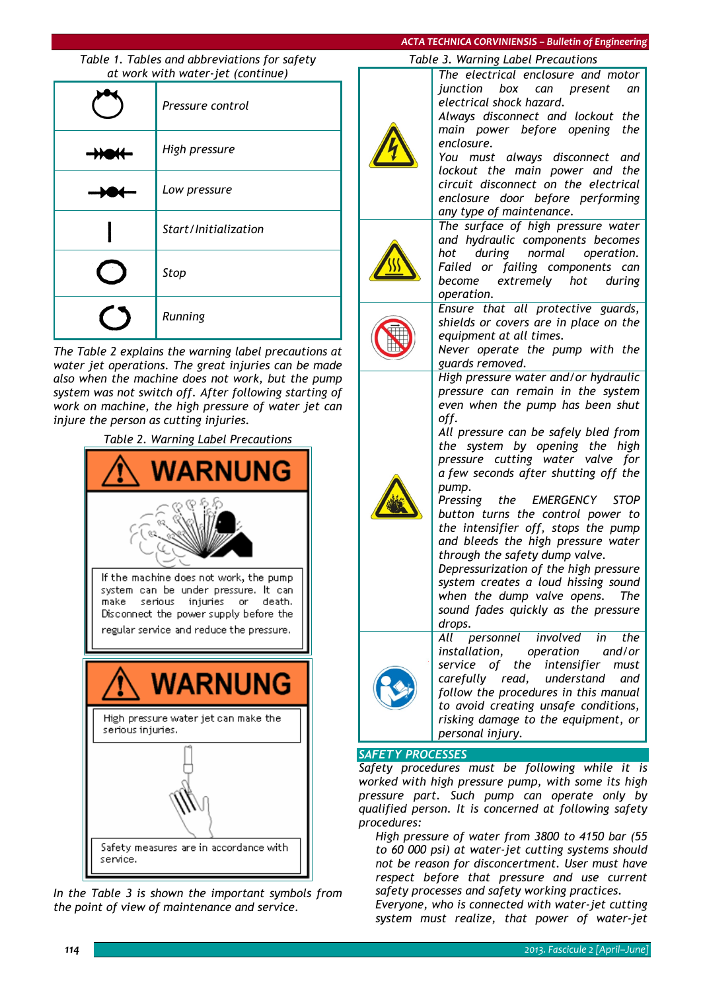### *ACTA TECHNICA CORVINIENSIS – Bulletin of Engineering*

*Table 1. Tables and abbreviations for safety at work with water-jet (continue)* 

| .<br>Pressure control |
|-----------------------|
| High pressure         |
| Low pressure          |
| Start/Initialization  |
| Stop                  |
| Running               |

*The Table 2 explains the warning label precautions at water jet operations. The great injuries can be made also when the machine does not work, but the pump system was not switch off. After following starting of work on machine, the high pressure of water jet can injure the person as cutting injuries.* 

*Table 2. Warning Label Precautions* 



*In the Table 3 is shown the important symbols from the point of view of maintenance and service.* 

*Table 3. Warning Label Precautions* 

*The electrical enclosure and motor junction box can present an electrical shock hazard. Always disconnect and lockout the* 

*main power before opening the enclosure.* 

*You must always disconnect and lockout the main power and the circuit disconnect on the electrical enclosure door before performing any type of maintenance.* 

*The surface of high pressure water and hydraulic components becomes hot during normal operation. Failed or failing components can become extremely hot during operation.* 

*Ensure that all protective guards, shields or covers are in place on the equipment at all times.* 

*Never operate the pump with the guards removed.* 

*High pressure water and/or hydraulic pressure can remain in the system even when the pump has been shut off.* 

*All pressure can be safely bled from the system by opening the high pressure cutting water valve for a few seconds after shutting off the pump.* 

*Pressing the EMERGENCY STOP button turns the control power to the intensifier off, stops the pump and bleeds the high pressure water through the safety dump valve.* 

*Depressurization of the high pressure system creates a loud hissing sound when the dump valve opens. The sound fades quickly as the pressure drops.* 



*All personnel involved in the installation, operation and/or service of the intensifier must carefully read, understand and follow the procedures in this manual to avoid creating unsafe conditions, risking damage to the equipment, or personal injury.* 

### *SAFETY PROCESSES*

*Safety procedures must be following while it is worked with high pressure pump, with some its high pressure part. Such pump can operate only by qualified person. It is concerned at following safety procedures:* 

 *High pressure of water from 3800 to 4150 bar (55 to 60 000 psi) at water-jet cutting systems should not be reason for disconcertment. User must have respect before that pressure and use current safety processes and safety working practices.* 

 *Everyone, who is connected with water-jet cutting system must realize, that power of water-jet*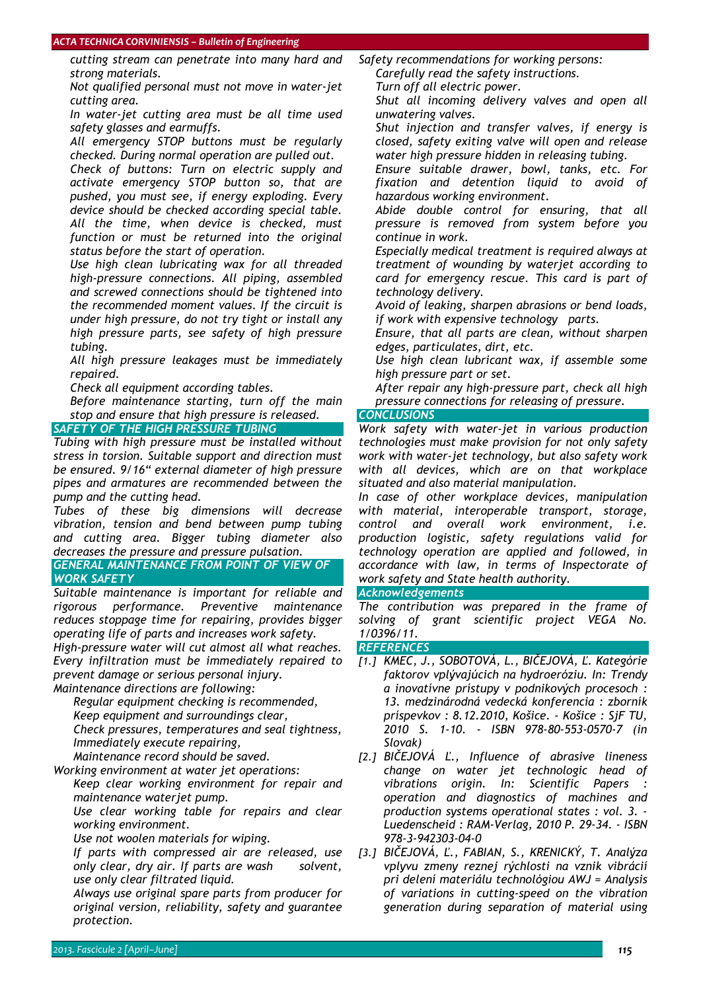#### *ACTA TECHNICA CORVINIENSIS – Bulletin of Engineering*

*cutting stream can penetrate into many hard and strong materials.* 

 *Not qualified personal must not move in water-jet cutting area.* 

 *In water-jet cutting area must be all time used safety glasses and earmuffs.* 

 *All emergency STOP buttons must be regularly checked. During normal operation are pulled out.* 

 *Check of buttons: Turn on electric supply and activate emergency STOP button so, that are pushed, you must see, if energy exploding. Every device should be checked according special table. All the time, when device is checked, must function or must be returned into the original status before the start of operation.* 

 *Use high clean lubricating wax for all threaded high-pressure connections. All piping, assembled and screwed connections should be tightened into the recommended moment values. If the circuit is under high pressure, do not try tight or install any high pressure parts, see safety of high pressure tubing.* 

 *All high pressure leakages must be immediately repaired.* 

*Check all equipment according tables.* 

 *Before maintenance starting, turn off the main stop and ensure that high pressure is released.* 

# *SAFETY OF THE HIGH PRESSURE TUBING*

*Tubing with high pressure must be installed without stress in torsion. Suitable support and direction must be ensured. 9/16" external diameter of high pressure pipes and armatures are recommended between the pump and the cutting head.* 

*Tubes of these big dimensions will decrease vibration, tension and bend between pump tubing and cutting area. Bigger tubing diameter also decreases the pressure and pressure pulsation.* 

*GENERAL MAINTENANCE FROM POINT OF VIEW OF WORK SAFETY* 

*Suitable maintenance is important for reliable and rigorous performance. Preventive maintenance reduces stoppage time for repairing, provides bigger operating life of parts and increases work safety.* 

*High-pressure water will cut almost all what reaches. Every infiltration must be immediately repaired to prevent damage or serious personal injury.* 

*Maintenance directions are following:* 

*Regular equipment checking is recommended,* 

*Keep equipment and surroundings clear,* 

 *Check pressures, temperatures and seal tightness, Immediately execute repairing,* 

*Maintenance record should be saved.* 

*Working environment at water jet operations:* 

 *Keep clear working environment for repair and maintenance waterjet pump.* 

 *Use clear working table for repairs and clear working environment.* 

*Use not woolen materials for wiping.* 

 *If parts with compressed air are released, use only clear, dry air. If parts are wash solvent, use only clear filtrated liquid.* 

 *Always use original spare parts from producer for original version, reliability, safety and guarantee protection.* 

*Safety recommendations for working persons: Carefully read the safety instructions.* 

*Turn off all electric power.* 

 *Shut all incoming delivery valves and open all unwatering valves.* 

 *Shut injection and transfer valves, if energy is closed, safety exiting valve will open and release water high pressure hidden in releasing tubing.* 

 *Ensure suitable drawer, bowl, tanks, etc. For fixation and detention liquid to avoid of hazardous working environment.* 

 *Abide double control for ensuring, that all pressure is removed from system before you continue in work.* 

 *Especially medical treatment is required always at treatment of wounding by waterjet according to card for emergency rescue. This card is part of technology delivery.* 

 *Avoid of leaking, sharpen abrasions or bend loads, if work with expensive technology parts.* 

 *Ensure, that all parts are clean, without sharpen edges, particulates, dirt, etc.* 

 *Use high clean lubricant wax, if assemble some high pressure part or set.* 

 *After repair any high-pressure part, check all high pressure connections for releasing of pressure.* 

# *CONCLUSIONS*

*Work safety with water-jet in various production technologies must make provision for not only safety work with water-jet technology, but also safety work with all devices, which are on that workplace situated and also material manipulation.* 

*In case of other workplace devices, manipulation with material, interoperable transport, storage, control and overall work environment, i.e. production logistic, safety regulations valid for technology operation are applied and followed, in accordance with law, in terms of Inspectorate of work safety and State health authority.* 

# *Acknowledgements*

*The contribution was prepared in the frame of solving of grant scientific project VEGA No. 1/0396/11.* 

# *REFERENCES*

- *[1.] KMEC, J., SOBOTOVÁ, L., BIČEJOVÁ, Ľ. Kategórie faktorov vplývajúcich na hydroeróziu. In: Trendy a inovatívne prístupy v podnikových procesoch : 13. medzinárodná vedecká konferencia : zborník príspevkov : 8.12.2010, Košice. - Košice : SjF TU, 2010 S. 1-10. - ISBN 978-80-553-0570-7 (in Slovak)*
- *[2.] BIČEJOVÁ Ľ., Influence of abrasive lineness change on water jet technologic head of vibrations origin. In: Scientific Papers : operation and diagnostics of machines and production systems operational states : vol. 3. - Luedenscheid : RAM-Verlag, 2010 P. 29-34. - ISBN 978-3-942303-04-0*
- *[3.] BIČEJOVÁ, Ľ., FABIAN, S., KRENICKÝ, T. Analýza vplyvu zmeny reznej rýchlosti na vznik vibrácií pri delení materiálu technológiou AWJ = Analysis of variations in cutting-speed on the vibration generation during separation of material using*